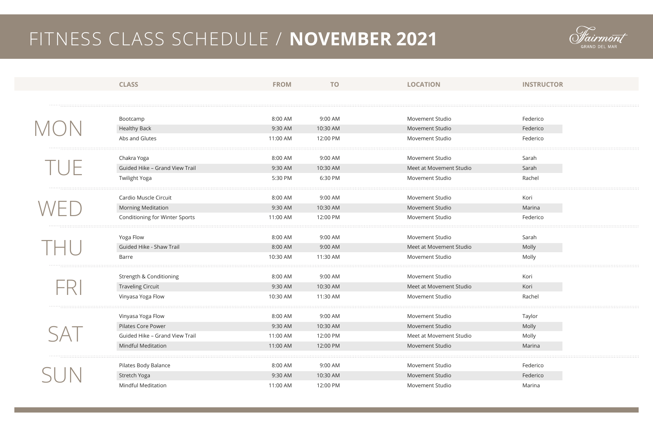|     | <b>CLASS</b>                       | <b>FROM</b> | <b>TO</b> | <b>LOCATION</b>         | <b>INSTRUCTOR</b> |
|-----|------------------------------------|-------------|-----------|-------------------------|-------------------|
|     |                                    |             |           |                         |                   |
|     |                                    |             |           |                         |                   |
|     | Bootcamp                           | 8:00 AM     | 9:00 AM   | <b>Movement Studio</b>  | Federico          |
|     | <b>Healthy Back</b>                | 9:30 AM     | 10:30 AM  | Movement Studio         | Federico          |
|     | Abs and Glutes                     | 11:00 AM    | 12:00 PM  | Movement Studio         | Federico          |
|     | Chakra Yoga                        | 8:00 AM     | 9:00 AM   | <b>Movement Studio</b>  | Sarah             |
|     | Guided Hike - Grand View Trail     | 9:30 AM     | 10:30 AM  | Meet at Movement Studio | Sarah             |
|     | <b>Twilight Yoga</b>               | 5:30 PM     | 6:30 PM   | Movement Studio         | Rachel            |
|     | Cardio Muscle Circuit              | 8:00 AM     | 9:00 AM   | <b>Movement Studio</b>  | Kori              |
|     | <b>Morning Meditation</b>          | 9:30 AM     | 10:30 AM  | Movement Studio         | Marina            |
|     | Conditioning for Winter Sports     | 11:00 AM    | 12:00 PM  | Movement Studio         | Federico          |
|     | Yoga Flow                          | 8:00 AM     | 9:00 AM   | <b>Movement Studio</b>  | Sarah             |
|     | Guided Hike - Shaw Trail           | 8:00 AM     | 9:00 AM   | Meet at Movement Studio | Molly             |
|     | Barre                              | 10:30 AM    | 11:30 AM  | Movement Studio         | Molly             |
|     | <b>Strength &amp; Conditioning</b> | 8:00 AM     | 9:00 AM   | Movement Studio         | Kori              |
|     | <b>Traveling Circuit</b>           | 9:30 AM     | 10:30 AM  | Meet at Movement Studio | Kori              |
|     | Vinyasa Yoga Flow                  | 10:30 AM    | 11:30 AM  | <b>Movement Studio</b>  | Rachel            |
|     | Vinyasa Yoga Flow                  | 8:00 AM     | 9:00 AM   | Movement Studio         | Taylor            |
| SAT | Pilates Core Power                 | 9:30 AM     | 10:30 AM  | Movement Studio         | Molly             |
|     | Guided Hike - Grand View Trail     | 11:00 AM    | 12:00 PM  | Meet at Movement Studio | Molly             |
|     | <b>Mindful Meditation</b>          | 11:00 AM    | 12:00 PM  | Movement Studio         | Marina            |
|     | Pilates Body Balance               | 8:00 AM     | 9:00 AM   | Movement Studio         | Federico          |
|     | Stretch Yoga                       | 9:30 AM     | 10:30 AM  | Movement Studio         | Federico          |
|     | <b>Mindful Meditation</b>          | 11:00 AM    | 12:00 PM  | Movement Studio         | Marina            |
|     |                                    |             |           |                         |                   |



| Federico |  |
|----------|--|
| Federico |  |
| Federico |  |
|          |  |
| Sarah    |  |
| Sarah    |  |
| Rachel   |  |
|          |  |
| Kori     |  |
| Marina   |  |
| Federico |  |
|          |  |
| Sarah    |  |
| Molly    |  |
| Molly    |  |
|          |  |
| Kori     |  |
| Kori     |  |
| Rachel   |  |
|          |  |
| Taylor   |  |
| Molly    |  |
| Molly    |  |
| Marina   |  |
|          |  |
| Federico |  |
| Federico |  |
| Marina   |  |
|          |  |

## FITNESS CLASS SCHEDULE / **NOVEMBER 2021**